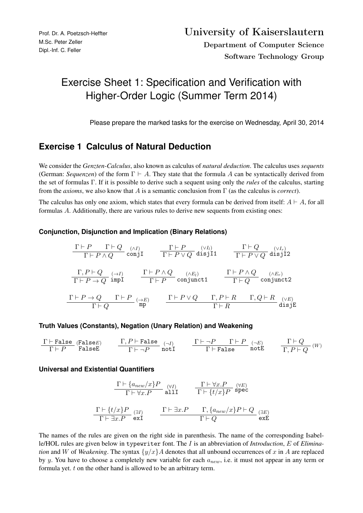# Exercise Sheet 1: Specification and Verification with Higher-Order Logic (Summer Term 2014)

Please prepare the marked tasks for the exercise on Wednesday, April 30, 2014

## **Exercise 1 Calculus of Natural Deduction**

We consider the *Genzten-Calculus*, also known as calculus of *natural deduction*. The calculus uses *sequents* (German: *Sequenzen*) of the form  $\Gamma \vdash A$ . They state that the formula A can be syntactically derived from the set of formulas Γ. If it is possible to derive such a sequent using only the *rules* of the calculus, starting from the *axioms*, we also know that A is a semantic conclusion from Γ (as the calculus is *correct*).

The calculus has only one axiom, which states that every formula can be derived from itself:  $A \vdash A$ , for all formulas A. Additionally, there are various rules to derive new sequents from existing ones:

#### **Conjunction, Disjunction and Implication (Binary Relations)**

$$
\begin{array}{ccc}\n\frac{\Gamma \vdash P & \Gamma \vdash Q & (\land I) \\
\frac{\Gamma \vdash P & \Gamma \vdash Q & (\lor I) \\
\frac{\Gamma \vdash P \lor Q & \text{disjI1}}{\Gamma \vdash P \lor Q & \text{disjI2}}\n\end{array}\n\quad\n\begin{array}{ccc}\n\frac{\Gamma \vdash P & (\lor I_l) & \Gamma \vdash Q & (\lor I_r) \\
\frac{\Gamma \vdash P \lor Q & \text{disjI2}}{\Gamma \vdash P \lor Q & \text{disjI2}}\n\end{array}\n\quad\n\begin{array}{ccc}\n\frac{\Gamma \vdash P \land Q}{\Gamma \vdash P} & (\land E_l) & \Gamma \vdash P \land Q & (\land E_r) \\
\frac{\Gamma \vdash P \land Q & \text{conjunct1}}{\Gamma \vdash Q} & \frac{\Gamma \vdash P \land Q & \text{conjunct2}}{\Gamma \vdash Q} \\
\frac{\Gamma \vdash P \to Q & \Gamma \vdash P & (\rightarrow E) & \Gamma \vdash P \lor Q & \Gamma, P \vdash R & \Gamma, Q \vdash R & (\lor E) \\
\frac{\Gamma \vdash Q} & \text{disjE}\n\end{array}
$$

#### **Truth Values (Constants), Negation (Unary Relation) and Weakening**

$$
\begin{array}{ccc}\n\Gamma \vdash \texttt{False} & (\texttt{False}) \\
\hline\n\Gamma \vdash P & \texttt{False} \\
\end{array}\n\qquad\n\begin{array}{ccc}\n\Gamma, P \vdash \texttt{False} \\
\hline\n\Gamma \vdash \neg P & \texttt{not1}\n\end{array}\n\qquad\n\begin{array}{ccc}\n\Gamma \vdash \neg P & \Gamma \vdash P \\
\Gamma \vdash \texttt{False} & \texttt{notE}\n\end{array}\n\qquad\n\begin{array}{ccc}\n\Gamma \vdash Q \\
\Gamma, P \vdash Q\n\end{array}\n\qquad\n\begin{array}{ccc}\n\Gamma \vdash Q \\
\hline\n\Gamma \end{array}
$$

#### **Universal and Existential Quantifiers**

$$
\frac{\Gamma \vdash \{a_{new}/x\}P}{\Gamma \vdash \forall x.P} \quad \begin{array}{l}\text{all}\, \Gamma & \frac{\Gamma \vdash \forall x.P}{\Gamma \vdash \{t/x\}P} \text{ spec} \\\\ \frac{\Gamma \vdash \{t/x\}P}{\Gamma \vdash \exists x.P} \text{ ext} & \frac{\Gamma \vdash \exists x.P}{\Gamma \vdash Q} \end{array} \quad \frac{\Gamma \vdash \exists x.P}{\Gamma \vdash Q} \quad \frac{\Gamma \vdash \exists x.P}{\Gamma \vdash Q} \quad \frac{\Gamma \vdash \exists x.P}{\Gamma \vdash Q} \quad \frac{\Gamma \vdash \exists x.P}{\Gamma \vdash Q} \end{array}
$$

The names of the rules are given on the right side in parenthesis. The name of the corresponding Isabelle/HOL rules are given below in typewriter font. The I is an abbreviation of *Introduction*, E of *Elimination* and W of *Weakening*. The syntax  $\{y/x\}A$  denotes that all unbound occurrences of x in A are replaced by y. You have to choose a completely new variable for each  $a_{new}$ , i.e. it must not appear in any term or formula yet. t on the other hand is allowed to be an arbitrary term.